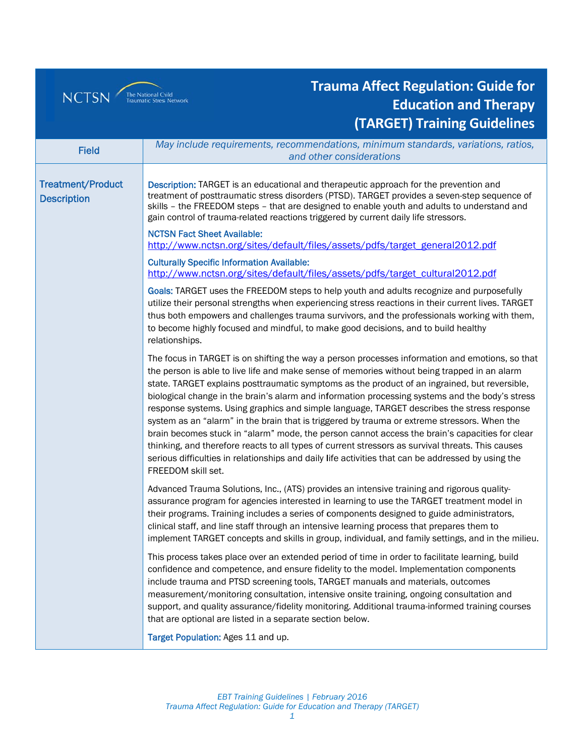## NCTSN The National Child

## **Trauma Affect Regulation: Guide for Education and Therapy (TARGET) Training Guidelines**

|                                                | May include requirements, recommendations, minimum standards, variations, ratios,                                                                                                                                                                                                                                                                                                                                                                                                                                                                                                                                                                                                                                                                                                                                                                                                                                                    |
|------------------------------------------------|--------------------------------------------------------------------------------------------------------------------------------------------------------------------------------------------------------------------------------------------------------------------------------------------------------------------------------------------------------------------------------------------------------------------------------------------------------------------------------------------------------------------------------------------------------------------------------------------------------------------------------------------------------------------------------------------------------------------------------------------------------------------------------------------------------------------------------------------------------------------------------------------------------------------------------------|
| <b>Field</b>                                   | and other considerations                                                                                                                                                                                                                                                                                                                                                                                                                                                                                                                                                                                                                                                                                                                                                                                                                                                                                                             |
|                                                |                                                                                                                                                                                                                                                                                                                                                                                                                                                                                                                                                                                                                                                                                                                                                                                                                                                                                                                                      |
| <b>Treatment/Product</b><br><b>Description</b> | Description: TARGET is an educational and therapeutic approach for the prevention and<br>treatment of posttraumatic stress disorders (PTSD). TARGET provides a seven-step sequence of<br>skills - the FREEDOM steps - that are designed to enable youth and adults to understand and<br>gain control of trauma-related reactions triggered by current daily life stressors.                                                                                                                                                                                                                                                                                                                                                                                                                                                                                                                                                          |
|                                                | <b>NCTSN Fact Sheet Available:</b><br>http://www.nctsn.org/sites/default/files/assets/pdfs/target_general2012.pdf                                                                                                                                                                                                                                                                                                                                                                                                                                                                                                                                                                                                                                                                                                                                                                                                                    |
|                                                | <b>Culturally Specific Information Available:</b><br>http://www.nctsn.org/sites/default/files/assets/pdfs/target_cultural2012.pdf                                                                                                                                                                                                                                                                                                                                                                                                                                                                                                                                                                                                                                                                                                                                                                                                    |
|                                                | Goals: TARGET uses the FREEDOM steps to help youth and adults recognize and purposefully<br>utilize their personal strengths when experiencing stress reactions in their current lives. TARGET<br>thus both empowers and challenges trauma survivors, and the professionals working with them,<br>to become highly focused and mindful, to make good decisions, and to build healthy<br>relationships.                                                                                                                                                                                                                                                                                                                                                                                                                                                                                                                               |
|                                                | The focus in TARGET is on shifting the way a person processes information and emotions, so that<br>the person is able to live life and make sense of memories without being trapped in an alarm<br>state. TARGET explains posttraumatic symptoms as the product of an ingrained, but reversible,<br>biological change in the brain's alarm and information processing systems and the body's stress<br>response systems. Using graphics and simple language, TARGET describes the stress response<br>system as an "alarm" in the brain that is triggered by trauma or extreme stressors. When the<br>brain becomes stuck in "alarm" mode, the person cannot access the brain's capacities for clear<br>thinking, and therefore reacts to all types of current stressors as survival threats. This causes<br>serious difficulties in relationships and daily life activities that can be addressed by using the<br>FREEDOM skill set. |
|                                                | Advanced Trauma Solutions, Inc., (ATS) provides an intensive training and rigorous quality-<br>assurance program for agencies interested in learning to use the TARGET treatment model in<br>their programs. Training includes a series of components designed to guide administrators,<br>clinical staff, and line staff through an intensive learning process that prepares them to<br>implement TARGET concepts and skills in group, individual, and family settings, and in the milieu.                                                                                                                                                                                                                                                                                                                                                                                                                                          |
|                                                | This process takes place over an extended period of time in order to facilitate learning, build<br>confidence and competence, and ensure fidelity to the model. Implementation components<br>include trauma and PTSD screening tools, TARGET manuals and materials, outcomes<br>measurement/monitoring consultation, intensive onsite training, ongoing consultation and<br>support, and quality assurance/fidelity monitoring. Additional trauma-informed training courses<br>that are optional are listed in a separate section below.                                                                                                                                                                                                                                                                                                                                                                                             |
|                                                | Target Population: Ages 11 and up.                                                                                                                                                                                                                                                                                                                                                                                                                                                                                                                                                                                                                                                                                                                                                                                                                                                                                                   |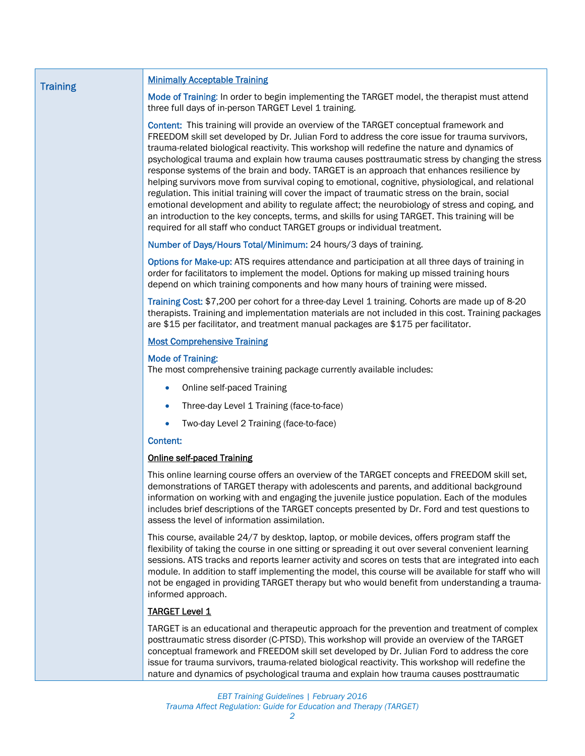| <b>Training</b> | <b>Minimally Acceptable Training</b>                                                                                                                                                                                                                                                                                                                                                                                                                                                                                                                                                                                                                                                                                                                                                                                                                                                                                                                                                 |
|-----------------|--------------------------------------------------------------------------------------------------------------------------------------------------------------------------------------------------------------------------------------------------------------------------------------------------------------------------------------------------------------------------------------------------------------------------------------------------------------------------------------------------------------------------------------------------------------------------------------------------------------------------------------------------------------------------------------------------------------------------------------------------------------------------------------------------------------------------------------------------------------------------------------------------------------------------------------------------------------------------------------|
|                 | Mode of Training: In order to begin implementing the TARGET model, the therapist must attend<br>three full days of in-person TARGET Level 1 training.                                                                                                                                                                                                                                                                                                                                                                                                                                                                                                                                                                                                                                                                                                                                                                                                                                |
|                 | Content: This training will provide an overview of the TARGET conceptual framework and<br>FREEDOM skill set developed by Dr. Julian Ford to address the core issue for trauma survivors,<br>trauma-related biological reactivity. This workshop will redefine the nature and dynamics of<br>psychological trauma and explain how trauma causes posttraumatic stress by changing the stress<br>response systems of the brain and body. TARGET is an approach that enhances resilience by<br>helping survivors move from survival coping to emotional, cognitive, physiological, and relational<br>regulation. This initial training will cover the impact of traumatic stress on the brain, social<br>emotional development and ability to regulate affect; the neurobiology of stress and coping, and<br>an introduction to the key concepts, terms, and skills for using TARGET. This training will be<br>required for all staff who conduct TARGET groups or individual treatment. |
|                 | Number of Days/Hours Total/Minimum: 24 hours/3 days of training.                                                                                                                                                                                                                                                                                                                                                                                                                                                                                                                                                                                                                                                                                                                                                                                                                                                                                                                     |
|                 | Options for Make-up: ATS requires attendance and participation at all three days of training in<br>order for facilitators to implement the model. Options for making up missed training hours<br>depend on which training components and how many hours of training were missed.                                                                                                                                                                                                                                                                                                                                                                                                                                                                                                                                                                                                                                                                                                     |
|                 | Training Cost: \$7,200 per cohort for a three-day Level 1 training. Cohorts are made up of 8-20<br>therapists. Training and implementation materials are not included in this cost. Training packages<br>are \$15 per facilitator, and treatment manual packages are \$175 per facilitator.                                                                                                                                                                                                                                                                                                                                                                                                                                                                                                                                                                                                                                                                                          |
|                 | <b>Most Comprehensive Training</b>                                                                                                                                                                                                                                                                                                                                                                                                                                                                                                                                                                                                                                                                                                                                                                                                                                                                                                                                                   |
|                 | <b>Mode of Training:</b><br>The most comprehensive training package currently available includes:                                                                                                                                                                                                                                                                                                                                                                                                                                                                                                                                                                                                                                                                                                                                                                                                                                                                                    |
|                 | Online self-paced Training<br>$\bullet$                                                                                                                                                                                                                                                                                                                                                                                                                                                                                                                                                                                                                                                                                                                                                                                                                                                                                                                                              |
|                 | Three-day Level 1 Training (face-to-face)                                                                                                                                                                                                                                                                                                                                                                                                                                                                                                                                                                                                                                                                                                                                                                                                                                                                                                                                            |
|                 | Two-day Level 2 Training (face-to-face)                                                                                                                                                                                                                                                                                                                                                                                                                                                                                                                                                                                                                                                                                                                                                                                                                                                                                                                                              |
|                 | <b>Content:</b>                                                                                                                                                                                                                                                                                                                                                                                                                                                                                                                                                                                                                                                                                                                                                                                                                                                                                                                                                                      |
|                 | <b>Online self-paced Training</b>                                                                                                                                                                                                                                                                                                                                                                                                                                                                                                                                                                                                                                                                                                                                                                                                                                                                                                                                                    |
|                 | This online learning course offers an overview of the TARGET concepts and FREEDOM skill set,<br>demonstrations of TARGET therapy with adolescents and parents, and additional background<br>information on working with and engaging the juvenile justice population. Each of the modules<br>includes brief descriptions of the TARGET concepts presented by Dr. Ford and test questions to<br>assess the level of information assimilation.                                                                                                                                                                                                                                                                                                                                                                                                                                                                                                                                         |
|                 | This course, available 24/7 by desktop, laptop, or mobile devices, offers program staff the<br>flexibility of taking the course in one sitting or spreading it out over several convenient learning<br>sessions. ATS tracks and reports learner activity and scores on tests that are integrated into each<br>module. In addition to staff implementing the model, this course will be available for staff who will<br>not be engaged in providing TARGET therapy but who would benefit from understanding a trauma-<br>informed approach.                                                                                                                                                                                                                                                                                                                                                                                                                                           |
|                 | <b>TARGET Level 1</b>                                                                                                                                                                                                                                                                                                                                                                                                                                                                                                                                                                                                                                                                                                                                                                                                                                                                                                                                                                |
|                 | TARGET is an educational and therapeutic approach for the prevention and treatment of complex<br>posttraumatic stress disorder (C-PTSD). This workshop will provide an overview of the TARGET<br>conceptual framework and FREEDOM skill set developed by Dr. Julian Ford to address the core<br>issue for trauma survivors, trauma-related biological reactivity. This workshop will redefine the                                                                                                                                                                                                                                                                                                                                                                                                                                                                                                                                                                                    |

nature and dynamics of psychological trauma and explain how trauma causes posttraumatic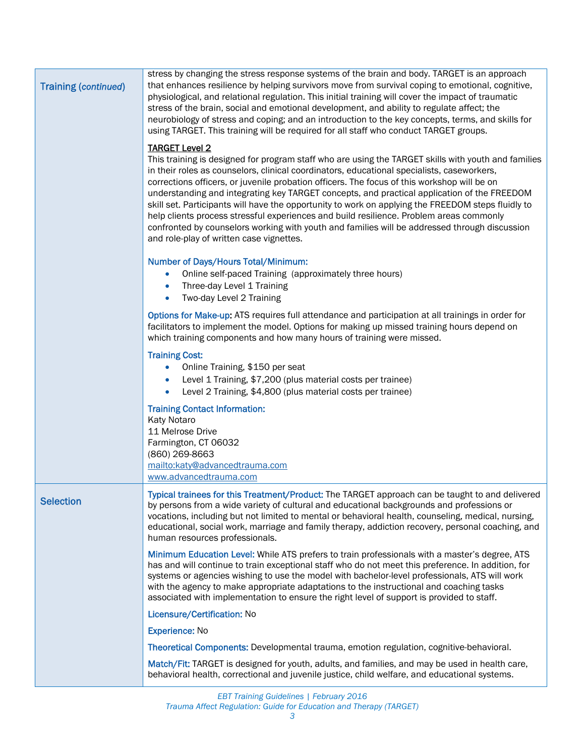| <b>Training (continued)</b> | stress by changing the stress response systems of the brain and body. TARGET is an approach<br>that enhances resilience by helping survivors move from survival coping to emotional, cognitive,<br>physiological, and relational regulation. This initial training will cover the impact of traumatic<br>stress of the brain, social and emotional development, and ability to regulate affect; the<br>neurobiology of stress and coping; and an introduction to the key concepts, terms, and skills for<br>using TARGET. This training will be required for all staff who conduct TARGET groups.                                                                                                                                                                      |
|-----------------------------|------------------------------------------------------------------------------------------------------------------------------------------------------------------------------------------------------------------------------------------------------------------------------------------------------------------------------------------------------------------------------------------------------------------------------------------------------------------------------------------------------------------------------------------------------------------------------------------------------------------------------------------------------------------------------------------------------------------------------------------------------------------------|
|                             | <b>TARGET Level 2</b><br>This training is designed for program staff who are using the TARGET skills with youth and families<br>in their roles as counselors, clinical coordinators, educational specialists, caseworkers,<br>corrections officers, or juvenile probation officers. The focus of this workshop will be on<br>understanding and integrating key TARGET concepts, and practical application of the FREEDOM<br>skill set. Participants will have the opportunity to work on applying the FREEDOM steps fluidly to<br>help clients process stressful experiences and build resilience. Problem areas commonly<br>confronted by counselors working with youth and families will be addressed through discussion<br>and role-play of written case vignettes. |
|                             | <b>Number of Days/Hours Total/Minimum:</b><br>Online self-paced Training (approximately three hours)<br>$\bullet$<br>Three-day Level 1 Training<br>Two-day Level 2 Training<br>$\bullet$                                                                                                                                                                                                                                                                                                                                                                                                                                                                                                                                                                               |
|                             | Options for Make-up: ATS requires full attendance and participation at all trainings in order for<br>facilitators to implement the model. Options for making up missed training hours depend on<br>which training components and how many hours of training were missed.                                                                                                                                                                                                                                                                                                                                                                                                                                                                                               |
|                             | <b>Training Cost:</b><br>Online Training, \$150 per seat<br>Level 1 Training, \$7,200 (plus material costs per trainee)<br>$\bullet$<br>Level 2 Training, \$4,800 (plus material costs per trainee)<br>$\bullet$                                                                                                                                                                                                                                                                                                                                                                                                                                                                                                                                                       |
|                             | <b>Training Contact Information:</b><br>Katy Notaro<br>11 Melrose Drive<br>Farmington, CT 06032<br>(860) 269-8663<br>mailto:katy@advancedtrauma.com                                                                                                                                                                                                                                                                                                                                                                                                                                                                                                                                                                                                                    |
| <b>Selection</b>            | www.advancedtrauma.com<br>Typical trainees for this Treatment/Product: The TARGET approach can be taught to and delivered<br>by persons from a wide variety of cultural and educational backgrounds and professions or<br>vocations, including but not limited to mental or behavioral health, counseling, medical, nursing,<br>educational, social work, marriage and family therapy, addiction recovery, personal coaching, and<br>human resources professionals.                                                                                                                                                                                                                                                                                                    |
|                             | Minimum Education Level: While ATS prefers to train professionals with a master's degree, ATS<br>has and will continue to train exceptional staff who do not meet this preference. In addition, for<br>systems or agencies wishing to use the model with bachelor-level professionals, ATS will work<br>with the agency to make appropriate adaptations to the instructional and coaching tasks<br>associated with implementation to ensure the right level of support is provided to staff.                                                                                                                                                                                                                                                                           |
|                             | Licensure/Certification: No                                                                                                                                                                                                                                                                                                                                                                                                                                                                                                                                                                                                                                                                                                                                            |
|                             | <b>Experience: No</b>                                                                                                                                                                                                                                                                                                                                                                                                                                                                                                                                                                                                                                                                                                                                                  |
|                             | Theoretical Components: Developmental trauma, emotion regulation, cognitive-behavioral.                                                                                                                                                                                                                                                                                                                                                                                                                                                                                                                                                                                                                                                                                |
|                             | Match/Fit: TARGET is designed for youth, adults, and families, and may be used in health care,<br>behavioral health, correctional and juvenile justice, child welfare, and educational systems.                                                                                                                                                                                                                                                                                                                                                                                                                                                                                                                                                                        |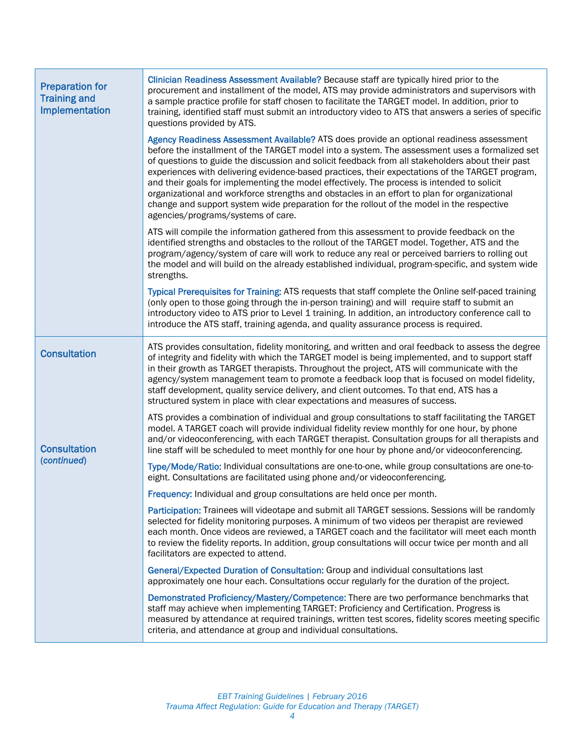| <b>Preparation for</b><br><b>Training and</b><br>Implementation | Clinician Readiness Assessment Available? Because staff are typically hired prior to the<br>procurement and installment of the model, ATS may provide administrators and supervisors with<br>a sample practice profile for staff chosen to facilitate the TARGET model. In addition, prior to<br>training, identified staff must submit an introductory video to ATS that answers a series of specific<br>questions provided by ATS.                                                                                                                                                                                                                                                                                               |
|-----------------------------------------------------------------|------------------------------------------------------------------------------------------------------------------------------------------------------------------------------------------------------------------------------------------------------------------------------------------------------------------------------------------------------------------------------------------------------------------------------------------------------------------------------------------------------------------------------------------------------------------------------------------------------------------------------------------------------------------------------------------------------------------------------------|
|                                                                 | Agency Readiness Assessment Available? ATS does provide an optional readiness assessment<br>before the installment of the TARGET model into a system. The assessment uses a formalized set<br>of questions to guide the discussion and solicit feedback from all stakeholders about their past<br>experiences with delivering evidence-based practices, their expectations of the TARGET program,<br>and their goals for implementing the model effectively. The process is intended to solicit<br>organizational and workforce strengths and obstacles in an effort to plan for organizational<br>change and support system wide preparation for the rollout of the model in the respective<br>agencies/programs/systems of care. |
|                                                                 | ATS will compile the information gathered from this assessment to provide feedback on the<br>identified strengths and obstacles to the rollout of the TARGET model. Together, ATS and the<br>program/agency/system of care will work to reduce any real or perceived barriers to rolling out<br>the model and will build on the already established individual, program-specific, and system wide<br>strengths.                                                                                                                                                                                                                                                                                                                    |
|                                                                 | Typical Prerequisites for Training: ATS requests that staff complete the Online self-paced training<br>(only open to those going through the in-person training) and will require staff to submit an<br>introductory video to ATS prior to Level 1 training. In addition, an introductory conference call to<br>introduce the ATS staff, training agenda, and quality assurance process is required.                                                                                                                                                                                                                                                                                                                               |
| <b>Consultation</b>                                             | ATS provides consultation, fidelity monitoring, and written and oral feedback to assess the degree<br>of integrity and fidelity with which the TARGET model is being implemented, and to support staff<br>in their growth as TARGET therapists. Throughout the project, ATS will communicate with the<br>agency/system management team to promote a feedback loop that is focused on model fidelity,<br>staff development, quality service delivery, and client outcomes. To that end, ATS has a<br>structured system in place with clear expectations and measures of success.                                                                                                                                                    |
| <b>Consultation</b><br>(continued)                              | ATS provides a combination of individual and group consultations to staff facilitating the TARGET<br>model. A TARGET coach will provide individual fidelity review monthly for one hour, by phone<br>and/or videoconferencing, with each TARGET therapist. Consultation groups for all therapists and<br>line staff will be scheduled to meet monthly for one hour by phone and/or videoconferencing.                                                                                                                                                                                                                                                                                                                              |
|                                                                 | Type/Mode/Ratio: Individual consultations are one-to-one, while group consultations are one-to-<br>eight. Consultations are facilitated using phone and/or videoconferencing.                                                                                                                                                                                                                                                                                                                                                                                                                                                                                                                                                      |
|                                                                 | Frequency: Individual and group consultations are held once per month.                                                                                                                                                                                                                                                                                                                                                                                                                                                                                                                                                                                                                                                             |
|                                                                 | Participation: Trainees will videotape and submit all TARGET sessions. Sessions will be randomly<br>selected for fidelity monitoring purposes. A minimum of two videos per therapist are reviewed<br>each month. Once videos are reviewed, a TARGET coach and the facilitator will meet each month<br>to review the fidelity reports. In addition, group consultations will occur twice per month and all<br>facilitators are expected to attend.                                                                                                                                                                                                                                                                                  |
|                                                                 | General/Expected Duration of Consultation: Group and individual consultations last<br>approximately one hour each. Consultations occur regularly for the duration of the project.                                                                                                                                                                                                                                                                                                                                                                                                                                                                                                                                                  |
|                                                                 | Demonstrated Proficiency/Mastery/Competence: There are two performance benchmarks that<br>staff may achieve when implementing TARGET: Proficiency and Certification. Progress is<br>measured by attendance at required trainings, written test scores, fidelity scores meeting specific<br>criteria, and attendance at group and individual consultations.                                                                                                                                                                                                                                                                                                                                                                         |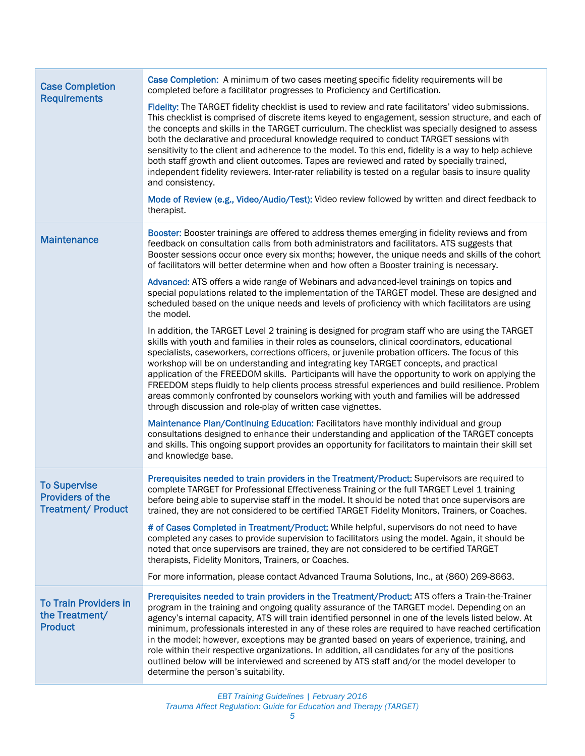| <b>Case Completion</b><br><b>Requirements</b>                               | Case Completion: A minimum of two cases meeting specific fidelity requirements will be<br>completed before a facilitator progresses to Proficiency and Certification.                                                                                                                                                                                                                                                                                                                                                                                                                                                                                                                                                                                                 |
|-----------------------------------------------------------------------------|-----------------------------------------------------------------------------------------------------------------------------------------------------------------------------------------------------------------------------------------------------------------------------------------------------------------------------------------------------------------------------------------------------------------------------------------------------------------------------------------------------------------------------------------------------------------------------------------------------------------------------------------------------------------------------------------------------------------------------------------------------------------------|
|                                                                             | Fidelity: The TARGET fidelity checklist is used to review and rate facilitators' video submissions.<br>This checklist is comprised of discrete items keyed to engagement, session structure, and each of<br>the concepts and skills in the TARGET curriculum. The checklist was specially designed to assess<br>both the declarative and procedural knowledge required to conduct TARGET sessions with<br>sensitivity to the client and adherence to the model. To this end, fidelity is a way to help achieve<br>both staff growth and client outcomes. Tapes are reviewed and rated by specially trained,<br>independent fidelity reviewers. Inter-rater reliability is tested on a regular basis to insure quality<br>and consistency.                             |
|                                                                             | Mode of Review (e.g., Video/Audio/Test): Video review followed by written and direct feedback to<br>therapist.                                                                                                                                                                                                                                                                                                                                                                                                                                                                                                                                                                                                                                                        |
| <b>Maintenance</b>                                                          | Booster: Booster trainings are offered to address themes emerging in fidelity reviews and from<br>feedback on consultation calls from both administrators and facilitators. ATS suggests that<br>Booster sessions occur once every six months; however, the unique needs and skills of the cohort<br>of facilitators will better determine when and how often a Booster training is necessary.                                                                                                                                                                                                                                                                                                                                                                        |
|                                                                             | Advanced: ATS offers a wide range of Webinars and advanced-level trainings on topics and<br>special populations related to the implementation of the TARGET model. These are designed and<br>scheduled based on the unique needs and levels of proficiency with which facilitators are using<br>the model.                                                                                                                                                                                                                                                                                                                                                                                                                                                            |
|                                                                             | In addition, the TARGET Level 2 training is designed for program staff who are using the TARGET<br>skills with youth and families in their roles as counselors, clinical coordinators, educational<br>specialists, caseworkers, corrections officers, or juvenile probation officers. The focus of this<br>workshop will be on understanding and integrating key TARGET concepts, and practical<br>application of the FREEDOM skills. Participants will have the opportunity to work on applying the<br>FREEDOM steps fluidly to help clients process stressful experiences and build resilience. Problem<br>areas commonly confronted by counselors working with youth and families will be addressed<br>through discussion and role-play of written case vignettes. |
|                                                                             | Maintenance Plan/Continuing Education: Facilitators have monthly individual and group<br>consultations designed to enhance their understanding and application of the TARGET concepts<br>and skills. This ongoing support provides an opportunity for facilitators to maintain their skill set<br>and knowledge base.                                                                                                                                                                                                                                                                                                                                                                                                                                                 |
| <b>To Supervise</b><br><b>Providers of the</b><br><b>Treatment/ Product</b> | Prerequisites needed to train providers in the Treatment/Product: Supervisors are required to<br>complete TARGET for Professional Effectiveness Training or the full TARGET Level 1 training<br>before being able to supervise staff in the model. It should be noted that once supervisors are<br>trained, they are not considered to be certified TARGET Fidelity Monitors, Trainers, or Coaches.                                                                                                                                                                                                                                                                                                                                                                   |
|                                                                             | # of Cases Completed in Treatment/Product: While helpful, supervisors do not need to have<br>completed any cases to provide supervision to facilitators using the model. Again, it should be<br>noted that once supervisors are trained, they are not considered to be certified TARGET<br>therapists, Fidelity Monitors, Trainers, or Coaches.                                                                                                                                                                                                                                                                                                                                                                                                                       |
|                                                                             | For more information, please contact Advanced Trauma Solutions, Inc., at (860) 269-8663.                                                                                                                                                                                                                                                                                                                                                                                                                                                                                                                                                                                                                                                                              |
| <b>To Train Providers in</b><br>the Treatment/<br><b>Product</b>            | Prerequisites needed to train providers in the Treatment/Product: ATS offers a Train-the-Trainer<br>program in the training and ongoing quality assurance of the TARGET model. Depending on an<br>agency's internal capacity, ATS will train identified personnel in one of the levels listed below. At<br>minimum, professionals interested in any of these roles are required to have reached certification<br>in the model; however, exceptions may be granted based on years of experience, training, and<br>role within their respective organizations. In addition, all candidates for any of the positions<br>outlined below will be interviewed and screened by ATS staff and/or the model developer to<br>determine the person's suitability.                |